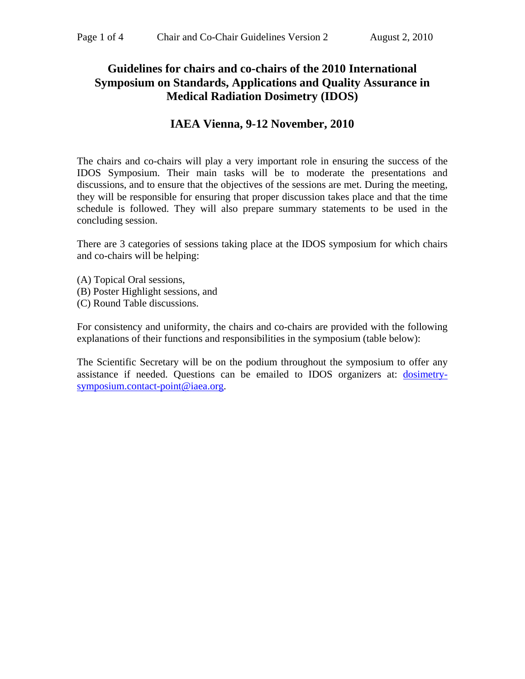# **Guidelines for chairs and co-chairs of the 2010 International Symposium on Standards, Applications and Quality Assurance in Medical Radiation Dosimetry (IDOS)**

### **IAEA Vienna, 9-12 November, 2010**

The chairs and co-chairs will play a very important role in ensuring the success of the IDOS Symposium. Their main tasks will be to moderate the presentations and discussions, and to ensure that the objectives of the sessions are met. During the meeting, they will be responsible for ensuring that proper discussion takes place and that the time schedule is followed. They will also prepare summary statements to be used in the concluding session.

There are 3 categories of sessions taking place at the IDOS symposium for which chairs and co-chairs will be helping:

- (A) Topical Oral sessions,
- (B) Poster Highlight sessions, and
- (C) Round Table discussions.

For consistency and uniformity, the chairs and co-chairs are provided with the following explanations of their functions and responsibilities in the symposium (table below):

The Scientific Secretary will be on the podium throughout the symposium to offer any assistance if needed. Questions can be emailed to IDOS organizers at: [dosimetry](mailto:dosimetry-symposium.contact-point@iaea.org)[symposium.contact-point@iaea.org.](mailto:dosimetry-symposium.contact-point@iaea.org)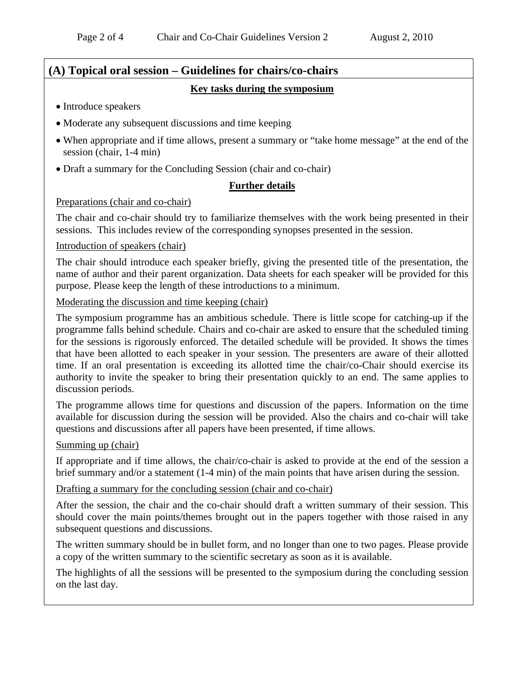# **(A) Topical oral session – Guidelines for chairs/co-chairs Key tasks during the symposium**

- Introduce speakers
- Moderate any subsequent discussions and time keeping
- When appropriate and if time allows, present a summary or "take home message" at the end of the session (chair, 1-4 min)
- Draft a summary for the Concluding Session (chair and co-chair)

### **Further details**

### Preparations (chair and co-chair)

The chair and co-chair should try to familiarize themselves with the work being presented in their sessions. This includes review of the corresponding synopses presented in the session.

### Introduction of speakers (chair)

The chair should introduce each speaker briefly, giving the presented title of the presentation, the name of author and their parent organization. Data sheets for each speaker will be provided for this purpose. Please keep the length of these introductions to a minimum.

Moderating the discussion and time keeping (chair)

The symposium programme has an ambitious schedule. There is little scope for catching-up if the programme falls behind schedule. Chairs and co-chair are asked to ensure that the scheduled timing for the sessions is rigorously enforced. The detailed schedule will be provided. It shows the times that have been allotted to each speaker in your session. The presenters are aware of their allotted time. If an oral presentation is exceeding its allotted time the chair/co-Chair should exercise its authority to invite the speaker to bring their presentation quickly to an end. The same applies to discussion periods.

The programme allows time for questions and discussion of the papers. Information on the time available for discussion during the session will be provided. Also the chairs and co-chair will take questions and discussions after all papers have been presented, if time allows.

### Summing up (chair)

If appropriate and if time allows, the chair/co-chair is asked to provide at the end of the session a brief summary and/or a statement (1-4 min) of the main points that have arisen during the session.

### Drafting a summary for the concluding session (chair and co-chair)

After the session, the chair and the co-chair should draft a written summary of their session. This should cover the main points/themes brought out in the papers together with those raised in any subsequent questions and discussions.

The written summary should be in bullet form, and no longer than one to two pages. Please provide a copy of the written summary to the scientific secretary as soon as it is available.

The highlights of all the sessions will be presented to the symposium during the concluding session on the last day.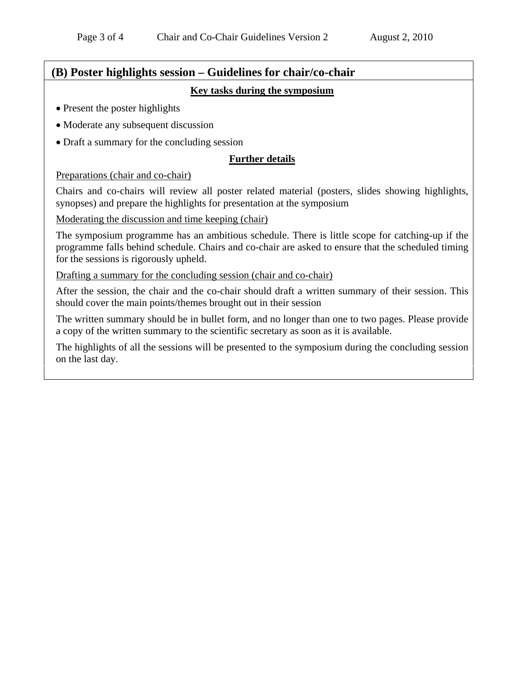# **(B) Poster highlights session – Guidelines for chair/co-chair**

**Key tasks during the symposium**

- Present the poster highlights
- Moderate any subsequent discussion
- Draft a summary for the concluding session

### **Further details**

### Preparations (chair and co-chair)

Chairs and co-chairs will review all poster related material (posters, slides showing highlights, synopses) and prepare the highlights for presentation at the symposium

### Moderating the discussion and time keeping (chair)

The symposium programme has an ambitious schedule. There is little scope for catching-up if the programme falls behind schedule. Chairs and co-chair are asked to ensure that the scheduled timing for the sessions is rigorously upheld.

Drafting a summary for the concluding session (chair and co-chair)

After the session, the chair and the co-chair should draft a written summary of their session. This should cover the main points/themes brought out in their session

The written summary should be in bullet form, and no longer than one to two pages. Please provide a copy of the written summary to the scientific secretary as soon as it is available.

The highlights of all the sessions will be presented to the symposium during the concluding session on the last day.